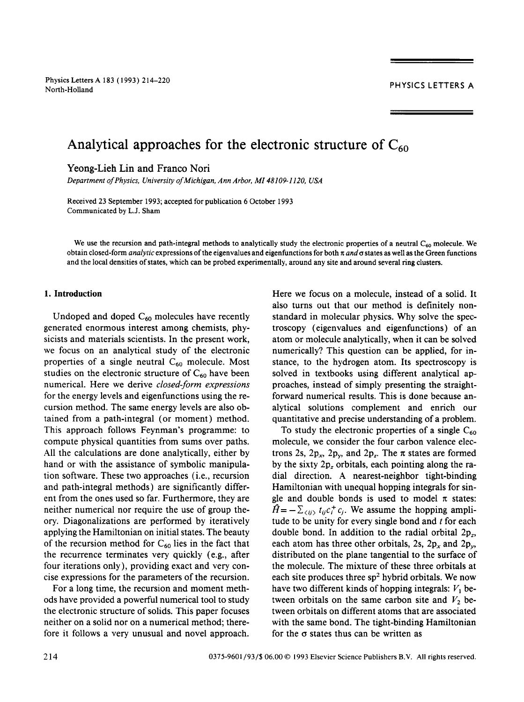# Analytical approaches for the electronic structure of  $C_{60}$

Yeong-Lieh Lin and Franco Nori

*Department of Physics, University of Michigan, Ann Arbor, M148109-1120, USA* 

Received 23 September 1993; accepted for publication 6 October 1993 Communicated by L.J. Sham

We use the recursion and path-integral methods to analytically study the electronic properties of a neutral  $C_{60}$  molecule. We obtain closed-form *analytic* expressions of the eigenvalues and eigenfunctions for both *n ande* states as well as the Green functions and the local densities of states, which can be probed experimentally, around any site and around several ring clusters.

# **1. Introduction**

Undoped and doped  $C_{60}$  molecules have recently generated enormous interest among chemists, physicists and materials scientists. In the present work, we focus on an analytical study of the electronic properties of a single neutral  $C_{60}$  molecule. Most studies on the electronic structure of  $C_{60}$  have been numerical. Here we derive *closed-form expressions*  for the energy levels and eigenfunctions using the recursion method. The same energy levels are also obtained from a path-integral (or moment) method. This approach follows Feynman's programme: to compute physical quantities from sums over paths. All the calculations are done analytically, either by hand or with the assistance of symbolic manipulation software. These two approaches (i.e., recursion and path-integral methods) are significantly different from the ones used so far. Furthermore, they are neither numerical nor require the use of group theory. Diagonalizations are performed by iteratively applying the Hamiltonian on initial states. The beauty of the recursion method for  $C_{60}$  lies in the fact that the recurrence terminates very quickly (e.g., after four iterations only), providing exact and very concise expressions for the parameters of the recursion.

For a long time, the recursion and moment methods have provided a powerful numerical tool to study the electronic structure of solids. This paper focuses neither on a solid nor on a numerical method; therefore it follows a very unusual and novel approach.

Here we focus on a molecule, instead of a solid. It also turns out that our method is definitely nonstandard in molecular physics. Why solve the spectroscopy (eigenvalues and eigenfunctions) of an atom or molecule analytically, when it can be solved numerically? This question can be applied, for instance, to the hydrogen atom. Its spectroscopy is solved in textbooks using different analytical approaches, instead of simply presenting the straightforward numerical results. This is done because analytical solutions complement and enrich our quantitative and precise understanding of a problem.

To study the electronic properties of a single  $C_{60}$ molecule, we consider the four carbon valence electrons 2s,  $2p_x$ ,  $2p_y$ , and  $2p_z$ . The  $\pi$  states are formed by the sixty  $2p_z$  orbitals, each pointing along the radial direction. A nearest-neighbor tight-binding Hamiltonian with unequal hopping integrals for single and double bonds is used to model  $\pi$  states:  $\hat{H}=-\sum_{\langle ij\rangle} t_{ij}c_i^+c_j$ . We assume the hopping amplitude to be unity for every single bond and  $t$  for each double bond. In addition to the radial orbital  $2p_z$ , each atom has three other orbitals, 2s,  $2p_x$  and  $2p_y$ , distributed on the plane tangential to the surface of the molecule. The mixture of these three orbitals at each site produces three  $sp<sup>2</sup>$  hybrid orbitals. We now have two different kinds of hopping integrals:  $V_1$  between orbitals on the same carbon site and  $V_2$  between orbitals on different atoms that are associated with the same bond. The tight-binding Hamiltonian for the  $\sigma$  states thus can be written as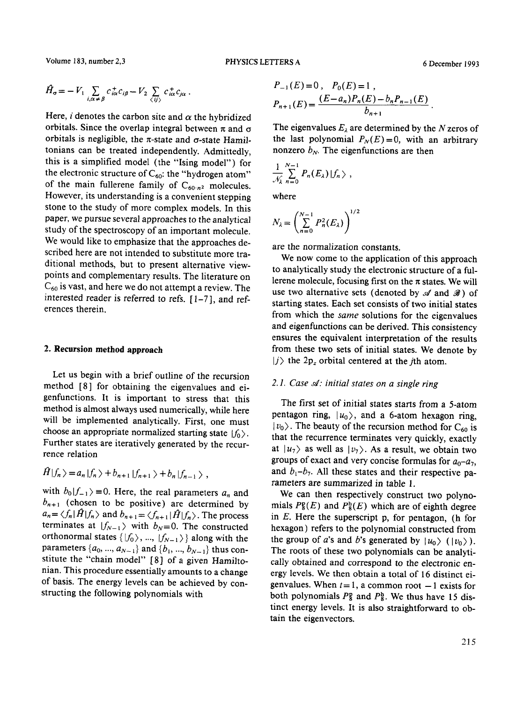Volume 183, number 2,3 **PHYSICS LETTERS A** 6 December 1993

$$
\hat{H}_{\sigma} = -V_1 \sum_{i,\alpha \neq \beta} c_{i\alpha}^{\dagger} c_{i\beta} - V_2 \sum_{\langle ij \rangle} c_{i\alpha}^{\dagger} c_{j\alpha}.
$$

Here, *i* denotes the carbon site and  $\alpha$  the hybridized orbitals. Since the overlap integral between  $\pi$  and  $\sigma$ orbitals is negligible, the  $\pi$ -state and  $\sigma$ -state Hamiltonians can be treated independently. Admittedly, this is a simplified model (the "Ising model") for the electronic structure of  $C_{60}$ : the "hydrogen atom" of the main fullerene family of  $C_{60n^2}$  molecules. However, its understanding is a convenient stepping stone to the study of more complex models. In this paper, we pursue several approaches to the analytical study of the spectroscopy of an important molecule. We would like to emphasize that the approaches described here are not intended to substitute more traditional methods, but to present alternative viewpoints and complementary results. The literature on  $C_{60}$  is vast, and here we do not attempt a review. The interested reader is referred to refs. [ 1-7], and references therein.

### **2. Recursion method approach**

 $\lambda$ 

Let us begin with a brief outline of the recursion method [8] for obtaining the eigenvalues and eigenfunctions. It is important to stress that this method is almost always used numerically, while here will he implemented analytically. First, one must choose an appropriate normalized starting state  $|f_0\rangle$ . Further states are iteratively generated by the recurrence relation

$$
H|f_n\rangle = a_n|f_n\rangle + b_{n+1}|f_{n+1}\rangle + b_n|f_{n-1}\rangle,
$$

with  $b_0|f_{-1}\rangle=0$ . Here, the real parameters  $a_n$  and  $b_{n+1}$  (chosen to be positive) are determined by  $a_n = \langle f_n | H | f_n \rangle$  and  $b_{n+1} = \langle f_{n+1} | H | f_n \rangle$ . The process terminates at  $|f_{N-1}\rangle$  with  $b_N=0$ . The constructed orthonormal states  $\{|f_0\rangle, ..., |f_{N-1}\rangle\}$  along with the parameters  $\{a_0, ..., a_{N-1}\}$  and  $\{b_1, ..., b_{N-1}\}$  thus constitute the "chain model" [8] of a given Hamiltonian. This procedure essentially amounts to a change of basis. The energy levels can be achieved by constructing the following polynomials with

$$
P_{-1}(E) = 0, \quad P_0(E) = 1,
$$
  

$$
P_{n+1}(E) = \frac{(E - a_n)P_n(E) - b_n P_{n-1}(E)}{b_{n+1}}.
$$

The eigenvalues  $E_{\lambda}$  are determined by the N zeros of the last polynomial  $P_N(E)=0$ , with an arbitrary nonzero  $b_N$ . The eigenfunctions are then

$$
\frac{1}{\mathcal{N}_{\lambda}}\sum_{n=0}^{N-1} P_n(E_{\lambda})\,|f_n\,\rangle\;,
$$

where

$$
N_{\lambda} = \left(\sum_{n=0}^{N-1} P_n^2(E_{\lambda})\right)^{1/2}
$$

are the normalization constants.

We now come to the application of this approach to analytically study the electronic structure of a fullerene molecule, focusing first on the  $\pi$  states. We will use two alternative sets (denoted by  $\mathscr A$  and  $\mathscr B$ ) of starting states. Each set consists of two initial states from which the *same* solutions for the eigenvalues and eigenfunctions can be derived. This consistency ensures the equivalent interpretation of the results from these two sets of initial states. We denote by  $|j\rangle$  the  $2p_z$  orbital centered at the *j*th atom.

### 2.1. Case  $\mathcal{A}$ : initial states on a single ring

The first set of initial states starts from a 5-atom pentagon ring,  $|u_0\rangle$ , and a 6-atom hexagon ring,  $|v_0\rangle$ . The beauty of the recursion method for C<sub>60</sub> is that the recurrence terminates very quickly, exactly at  $|u_7\rangle$  as well as  $|v_7\rangle$ . As a result, we obtain two groups of exact and very concise formulas for  $a_0$ - $a_7$ , and  $b_1-b_7$ . All these states and their respective parameters are summarized in table 1.

We can then respectively construct two polynomials  $P_{8}^{p}(E)$  and  $P_{8}^{h}(E)$  which are of eighth degree in  $E$ . Here the superscript p, for pentagon, (h for hexagon) refers to the polynomial constructed from the group of *a*'s and *b*'s generated by  $|u_0\rangle$  ( $|v_0\rangle$ ). The roots of these two polynomials can be analytically obtained and correspond to the electronic energy levels. We then obtain a total of 16 distinct eigenvalues. When  $t = 1$ , a common root  $-1$  exists for both polynomials  $P_{8}^{n}$  and  $P_{8}^{h}$ . We thus have 15 distinct energy levels. It is also straightforward to obtain the eigenvectors.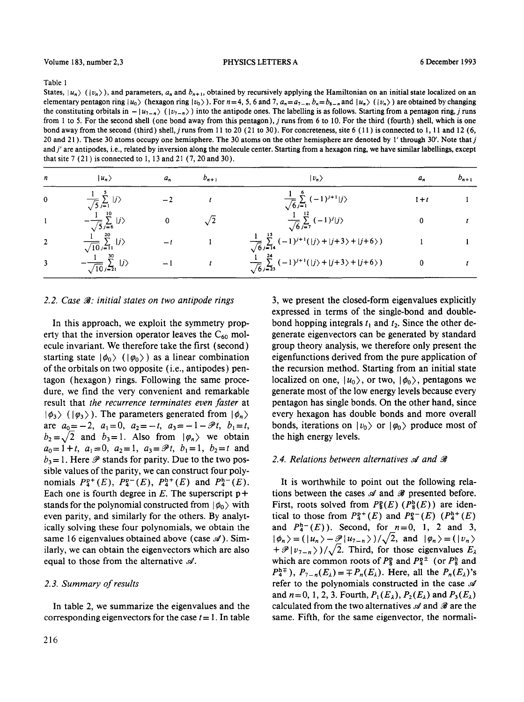Table 1

States,  $|u_n\rangle$  ( $|v_n\rangle$ ), and parameters,  $a_n$  and  $b_{n+1}$ , obtained by recursively applying the Hamiltonian on an initial state localized on an elementary pentagon ring  $|u_0\rangle$  (hexagon ring  $|v_0\rangle$ ). For  $n=4, 5, 6$  and 7,  $a_n=a_{7-n}$ ,  $b_n=b_{8-n}$  and  $|u_n\rangle$  ( $|v_n\rangle$ ) are obtained by changing the constituting orbitals in  $- |u_{7-n}\rangle$  ( $|v_{7-n}\rangle$ ) into the antipode ones. The labelling is as follows. Starting from a pentagon ring, j runs from 1 to 5. For the second shell (one bond away from this pentagon), j runs from 6 to 10. For the third (fourth) shell, which is one bond away from the second (third) shell, j runs from 11 to 20 (21 to 30). For concreteness, site 6 ( 11 ) is connected to 1, 11 and 12 (6, 20 and 21). These 30 atoms occupy one hemisphere. The 30 atoms on the other hemisphere are denoted by 1' through 30'. Note that j and j' are antipodes, i.e., related by inversion along the molecule center. Starting from a hexagon ring, we have similar labellings, except that site 7 (21) is connected to 1, 13 and 21 (7, 20 and 30).

| n              | $ u_n\rangle$                                         | $a_n$                    | $b_{n+1}$  | $ v_n\rangle$                                                                          | а,    | $b_{n+1}$ |
|----------------|-------------------------------------------------------|--------------------------|------------|----------------------------------------------------------------------------------------|-------|-----------|
| $\mathbf 0$    | $\frac{1}{\sqrt{5}}\sum_{j=1}^{\infty}  j\rangle$     |                          |            | $\frac{1}{\sqrt{6}}\sum_{j=1}^{8}(-1)^{j+1} j\rangle$                                  | $1+t$ |           |
|                | $-\frac{1}{\sqrt{5}}\sum_{j=6}^{10}  j\rangle$        | 0                        | $\sqrt{2}$ | $\frac{1}{\sqrt{6}}\sum_{j=7}^{12}(-1)^j j\rangle$                                     |       |           |
| $\overline{2}$ | $\frac{1}{\sqrt{10}}\sum_{j=11}^{20}  j\rangle$       |                          |            | $\frac{1}{\sqrt{6}}\sum_{j=14}^{15} (-1)^{j+1}( j\rangle +  j+3\rangle +  j+6\rangle)$ |       |           |
|                | $\frac{1}{\sqrt{10}}\sum_{j=21}^{\infty}$ $ j\rangle$ | $\overline{\phantom{0}}$ |            | $\frac{1}{\sqrt{6}}\sum_{j=23}^{24} (-1)^{j+1}( j\rangle +  j+3\rangle +  j+6\rangle)$ |       |           |

#### 2.2. Case  $\mathcal{B}$ : initial states on two antipode rings

In this approach, we exploit the symmetry property that the inversion operator leaves the  $C_{60}$  molecule invariant. We therefore take the first (second) starting state  $|\phi_0\rangle$  ( $|\phi_0\rangle$ ) as a linear combination of the orbitals on two opposite (i.e., antipodes) pentagon (hexagon) rings. Following the same procedure, we find the very convenient and remarkable result that *the recurrence terminates even faster* at  $|\phi_3\rangle$  ( $|\phi_3\rangle$ ). The parameters generated from  $|\phi_n\rangle$ are  $a_0 = -2$ ,  $a_1 = 0$ ,  $a_2 = -t$ ,  $a_3 = -1 - \mathcal{P}t$ ,  $b_1 = t$ ,  $b_2 = \sqrt{2}$  and  $b_3 = 1$ . Also from  $|\varphi_n\rangle$  we obtain  $a_0=1+t$ ,  $a_1=0$ ,  $a_2=1$ ,  $a_3=\mathscr{P}t$ ,  $b_1=1$ ,  $b_2=t$  and  $b_3 = 1$ . Here  $\mathscr P$  stands for parity. Due to the two possible values of the parity, we can construct four polynomials  $P_4^{p+}(E)$ ,  $P_4^{p-}(E)$ ,  $P_4^{p+}(E)$  and  $P_4^{p-}(E)$ . Each one is fourth degree in  $E$ . The superscript  $p +$ stands for the polynomial constructed from  $|\phi_0\rangle$  with even parity, and similarly for the others. By analytically solving these four polynomials, we obtain the same 16 eigenvalues obtained above (case  $\mathscr A$ ). Similarly, we can obtain the eigenvectors which are also equal to those from the alternative  $\mathscr A$ .

### *2.3. Summary of results*

In table 2, we summarize the eigenvalues and the corresponding eigenvectors for the case  $t = 1$ . In table

3, we present the closed-form eigenvalues explicitly expressed in terms of the single-bond and doublebond hopping integrals  $t_1$  and  $t_2$ . Since the other degenerate eigenvectors can be generated by standard group theory analysis, we therefore only present the eigenfunctions derived from the pure application of the recursion method. Starting from an initial state localized on one,  $|u_0\rangle$ , or two,  $|\phi_0\rangle$ , pentagons we generate most of the low energy levels because every pentagon has single bonds. On the other hand, since every hexagon has double bonds and more overall bonds, iterations on  $|v_0\rangle$  or  $|\varphi_0\rangle$  produce most of the high energy levels.

#### 2.4. Relations between alternatives A and

It is worthwhile to point out the following relations between the cases  $\mathscr A$  and  $\mathscr B$  presented before. First, roots solved from  $P_{\rm g}^{\rm p}(E)$  ( $P_{\rm g}^{\rm h}(E)$ ) are identical to those from  $P_4^{p+}(E)$  and  $P_4^{p-}(E)$   $(P_4^{h+}(E))$ and  $P_4^{h-}(E)$ ). Second, for  $n=0, 1, 2$  and 3,  $|\phi_n\rangle = (|u_n\rangle - \mathcal{P}|u_{n-n}\rangle)/\sqrt{2}$ , and  $|\phi_n\rangle = (|v_n\rangle - \mathcal{P}|u_{n-}\rangle)$  $+ \mathscr{P} |v_{7-n}\rangle)/\sqrt{2}$ . Third, for those eigenvalues  $E_{\lambda}$ which are common roots of  $P_8^{\rm o}$  and  $P_4^{\rm o}$  (or  $P_8^{\rm h}$  and  $P_4^{h}$ ,  $P_{7-n}(E_\lambda) = \mp P_n(E_\lambda)$ . Here, all the  $P_n(E_\lambda)$ 's refer to the polynomials constructed in the case  $\mathscr A$ and  $n=0, 1, 2, 3$ . Fourth,  $P_1(E_{\lambda})$ ,  $P_2(E_{\lambda})$  and  $P_3(E_{\lambda})$ calculated from the two alternatives  $\mathscr A$  and  $\mathscr B$  are the same. Fifth, for the same eigenvector, the normali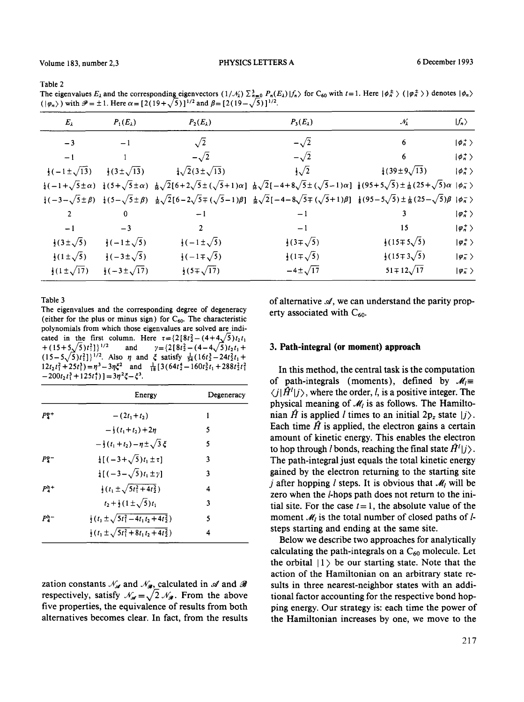**Table** 2

The eigenvalues  $E_{\lambda}$  and the corresponding eigenvectors  $(1/\mathcal{N}_{\lambda}) \Sigma_{n=0}^{\lambda} P_n(E_{\lambda}) |f_n\rangle$  for C<sub>60</sub> with  $t=1$ . Here  $|\phi_n^{\pm}\rangle$  ( $|\phi_n^{\pm}\rangle$ ) denotes  $|\phi_n\rangle$  $(|\varphi_n\rangle)$  with  $\mathcal{P} = \pm 1$ . Here  $\alpha = [2(19+\sqrt{5})]^{1/2}$  and  $\beta = [2(19-\sqrt{5})]^{1/2}$ .

| $E_{\lambda}$                   | $P_1(E_\lambda)$              | $P_2(E_\lambda)$             | $P_3(E_\lambda)$                                                                                                                                                                                                                                                          | $\mathcal{N}_2$                   | $ f_n\rangle$           |
|---------------------------------|-------------------------------|------------------------------|---------------------------------------------------------------------------------------------------------------------------------------------------------------------------------------------------------------------------------------------------------------------------|-----------------------------------|-------------------------|
| $-3$                            | $-1$                          | $\sqrt{2}$                   | $-\sqrt{2}$                                                                                                                                                                                                                                                               | 6                                 | $ \phi_n^{+}\rangle$    |
| -1                              |                               | $-\sqrt{2}$                  | $-\sqrt{2}$                                                                                                                                                                                                                                                               | 6                                 | $ \phi_n^+\rangle$      |
| $\frac{1}{2}(-1 \pm \sqrt{13})$ | $\frac{1}{2}(3\pm\sqrt{13})$  | $\sqrt{2}(3\pm\sqrt{13})$    | $\frac{1}{2}\sqrt{2}$                                                                                                                                                                                                                                                     | $\frac{1}{4}$ (39±9 $\sqrt{13}$ ) | $ \phi_n^+\rangle$      |
|                                 |                               |                              | $\frac{1}{4}(-1+\sqrt{5}\pm\alpha)\frac{1}{4}(5+\sqrt{5}\pm\alpha)\frac{1}{16}\sqrt{2}[6+2\sqrt{5}\pm(\sqrt{5}+1)\alpha]\frac{1}{16}\sqrt{2}[-4+8\sqrt{5}\pm(\sqrt{5}-1)\alpha]\frac{1}{8}(95+5\sqrt{5})\pm\frac{1}{16}(25+\sqrt{5})\alpha]\phi_{n}$                      |                                   |                         |
|                                 |                               |                              | $\frac{1}{4}(-3-\sqrt{5}\pm\beta) - \frac{1}{4}(5-\sqrt{5}\pm\beta) - \frac{1}{16}\sqrt{2}[6-2\sqrt{5}\mp(\sqrt{5}-1)\beta] - \frac{1}{16}\sqrt{2}[-4-8\sqrt{5}\mp(\sqrt{5}+1)\beta] - \frac{1}{8}(95-5\sqrt{5})\pm\frac{1}{16}(25-\sqrt{5})\beta + \frac{1}{16}\sqrt{2}$ |                                   |                         |
| $\overline{2}$                  | 0                             | $-1$                         | $-1$                                                                                                                                                                                                                                                                      |                                   | $ \varphi_n^+\rangle$   |
| $-1$                            | $-3$                          | 2                            | $-1$                                                                                                                                                                                                                                                                      | 15                                | $ \varphi_n^{+}\rangle$ |
| $\frac{1}{2}(3\pm\sqrt{5})$     | $\frac{1}{2}(-1\pm\sqrt{5})$  | $\frac{1}{2}(-1\pm\sqrt{5})$ | $\frac{1}{2}(3\mp\sqrt{5})$                                                                                                                                                                                                                                               | $\frac{1}{2}(15\mp 5\sqrt{5})$    | $ \varphi_n^+\rangle$   |
| $\frac{1}{2}(1 \pm \sqrt{5})$   | $\frac{1}{2}(-3\pm\sqrt{5})$  | $\frac{1}{2}(-1\mp\sqrt{5})$ | $\frac{1}{2}(1\mp\sqrt{5})$                                                                                                                                                                                                                                               | $\frac{1}{2}(15\mp 3\sqrt{5})$    | $ \varphi_n $           |
| $\frac{1}{2}(1 \pm \sqrt{17})$  | $\frac{1}{2}(-3\pm\sqrt{17})$ | $\frac{1}{2}(5\mp\sqrt{17})$ | $-4 \pm \sqrt{17}$                                                                                                                                                                                                                                                        | $51 \mp 12\sqrt{17}$              | $ \varphi_n$ >          |

**Table** 3

**The eigenvalues and the corresponding degree of degeneracy**  (either for the plus or minus sign) for  $C_{60}$ . The characteristic **polynomials from which those eigenvalues are solved are indi**cated in the first column. Here  $\tau = \{2[8t_2^2 - (4+4\sqrt{5})t_2t_1 + (15+5\sqrt{5})t_1^2]\}^{1/2}$  and  $\gamma = \{2[8t_2^2 - (4-4\sqrt{5})t_2t_1 +$ and  $\gamma = \{2[8t_2^2 - (4-4\sqrt{5})t_2t_1 +$  $(15-5\sqrt{5})t_1^2$ ]<sup>1/2</sup>. Also  $\eta$  and  $\xi$  satisfy  $\frac{1}{54}(16t_2^3-24t_2^2t_1+$  $12t_2t_1^2+25t_1^3$  =  $\eta^3-3\eta\xi^2$  and  $\frac{1}{18}[3(64t_2^4-160t_2^3t_1+288t_2^2t_1^2$  $-200t_2 t_1^3 + 125t_1^4$  ] =  $3\eta^2 \xi - \xi^3$ .

|                  | Energy                                                           | Degeneracy |
|------------------|------------------------------------------------------------------|------------|
| $Pp+$            | $-(2t_1+t_2)$                                                    | 1          |
|                  | $-\frac{1}{2}(t_1+t_2)+2n$                                       | 5          |
|                  | $-\frac{1}{3}(t_1+t_2)-\eta\pm\sqrt{3}\zeta$                     | 5          |
| $P2^-$           | $\frac{1}{4} [(-3+\sqrt{5})t_1 \pm \tau]$                        | 3          |
|                  | $\frac{1}{4} [(-3-\sqrt{5})t_1 \pm \gamma]$                      | 3          |
| $P_{4}^{\rm h+}$ | $\frac{1}{2}(t_1 \pm \sqrt{5t_1^2 + 4t_2^2})$                    | 4          |
|                  | $t_2 + \frac{1}{2}(1 \pm \sqrt{5})t_1$                           | 3          |
| $P_4^{\rm h-}$   | $\frac{1}{2}(t_1 \pm \sqrt{5t_1^2 - 4t_1t_2 + 4t_2^2})$          | 5          |
|                  | $\frac{1}{2}$ (t <sub>1</sub> ± $\sqrt{5t_1^2+8t_1t_2+4t_2^2}$ ) | 4          |

zation constants  $\mathcal{N}_{\mathcal{A}}$  and  $\mathcal{N}_{\mathcal{A}}$ , calculated in  $\mathcal A$  and  $\mathcal A$ respectively, satisfy  $\mathcal{N}_{\mathcal{A}} = \sqrt{2} \mathcal{N}_{\mathcal{A}}$ . From the above **five properties, the equivalence of results from both alternatives becomes clear. In fact, from the results**  of alternative  $\mathcal{A}$ , we can understand the parity property associated with  $C_{60}$ .

#### **3. Path-integral (or moment) approach**

**In this method, the central task is the computation**  of path-integrals (moments), defined by  $\mathcal{M}_l \equiv$  $\langle j|\hat{H}^l|j\rangle$ , where the order, *l*, is a positive integer. The physical meaning of  $\mathcal{M}_l$  is as follows. The Hamiltonian  $\hat{H}$  is applied *l* times to an initial  $2p_z$  state  $|j\rangle$ . Each time  $\hat{H}$  is applied, the electron gains a certain **amount of kinetic energy. This enables the electron**  to hop through *l* bonds, reaching the final state  $H^l(j)$ . **The path-integral just equals the total kinetic energy gained by the electron returning to the starting site**  *j* after hopping *l* steps. It is obvious that  $M_l$  will be **zero when the/-hops path does not return to the ini**tial site. For the case  $t=1$ , the absolute value of the moment  $\mathcal{M}_l$  is the total number of closed paths of  $l$ **steps starting and ending at the same site.** 

**Below we describe two approaches for analytically**  calculating the path-integrals on a  $C_{60}$  molecule. Let the orbital  $|1\rangle$  be our starting state. Note that the **action of the Hamiltonian on an arbitrary state results in three nearest-neighbor states with an additional factor accounting for the respective bond hopping energy. Our strategy is: each time the power of the Hamiltonian increases by one, we move to the**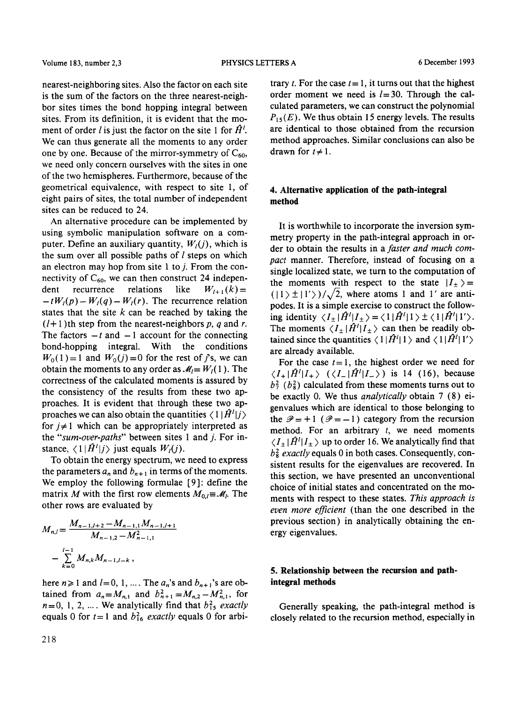nearest-neighboring sites. Also the factor on each site is the sum of the factors on the three nearest-neighbor sites times the bond hopping integral between sites. From its definition, it is evident that the moment of order l is just the factor on the site 1 for  $H<sup>l</sup>$ . We can thus generate all the moments to any order one by one. Because of the mirror-symmetry of  $C_{60}$ , we need only concern ourselves with the sites in one of the two hemispheres. Furthermore, because of the geometrical equivalence, with respect to site 1, of eight pairs of sites, the total number of independent sites can be reduced to 24.

An alternative procedure can be implemented by using symbolic manipulation software on a computer. Define an auxiliary quantity,  $W_l(j)$ , which is the sum over all possible paths of  $l$  steps on which an electron may hop from site 1 to  $j$ . From the connectivity of  $C_{60}$ , we can then construct 24 independent recurrence relations like  $W_{l+1}(k) =$  $-tW_l(p) - W_l(q) - W_l(r)$ . The recurrence relation states that the site  $k$  can be reached by taking the  $(l+1)$ th step from the nearest-neighbors p, q and r. The factors  $-t$  and  $-1$  account for the connecting bond-hopping integral. With the conditions  $W_0(1)=1$  and  $W_0(j)=0$  for the rest of j's, we can obtain the moments to any order as  $\mathcal{M}_l = W_l(1)$ . The correctness of the calculated moments is assured by the consistency of the results from these two approaches. It is evident that through these two approaches we can also obtain the quantities  $\langle 1 | \hat{H}^l | j \rangle$ for  $j \neq 1$  which can be appropriately interpreted as the *"sum-over-paths"* between sites 1 and j. For instance,  $\langle 1 | \hat{H}^l | j \rangle$  just equals  $W_l(j)$ .

To obtain the energy spectrum, we need to express the parameters  $a_n$  and  $b_{n+1}$  in terms of the moments. We employ the following formulae [9]: define the matrix *M* with the first row elements  $M_{0,l} = M_l$ . The other rows are evaluated by

$$
M_{n,l} = \frac{M_{n-1,l+2} - M_{n-1,l} M_{n-1,l+1}}{M_{n-1,2} - M_{n-1,1}^2}
$$
  

$$
- \sum_{k=0}^{l-1} M_{n,k} M_{n-1,l-k},
$$

here  $n \ge 1$  and  $l=0, 1, ...$ . The  $a_n$ 's and  $b_{n+1}$ 's are obtained from  $a_n = M_{n,1}$  and  $b_{n+1}^2 = M_{n,2} - M_{n,1}^2$ , for  $n=0, 1, 2, ...$  We analytically find that  $b_{15}^2$  *exactly* equals 0 for  $t=1$  and  $b_{16}^2$  *exactly* equals 0 for arbitrary t. For the case  $t=1$ , it turns out that the highest order moment we need is  $l=30$ . Through the calculated parameters, we can construct the polynomial  $P_{15}(E)$ . We thus obtain 15 energy levels. The results are identical to those obtained from the recursion method approaches. Similar conclusions can also be drawn for  $t \neq 1$ .

# **4. Alternative application of the path-integral method**

It is worthwhile to incorporate the inversion symmetry property in the path-integral approach in order to obtain the results in a *faster and much compact* manner. Therefore, instead of focusing on a single localized state, we turn to the computation of the moments with respect to the state  $|I_{\pm}\rangle=$  $(|1 \rangle \pm |1' \rangle)/\sqrt{2}$ , where atoms 1 and 1' are antipodes. It is a simple exercise to construct the following identity  $\langle I_{\pm} | \hat{H}^{\prime} | I_{\pm} \rangle = \langle 1 | \hat{H}^{\prime} | 1 \rangle \pm \langle 1 | \hat{H}^{\prime} | 1' \rangle$ . The moments  $\langle I_{\pm} | \hat{H}^l | I_{\pm} \rangle$  can then be readily obtained since the quantities  $\langle 1 | \hat{H}^{\prime} | 1 \rangle$  and  $\langle 1 | \hat{H}^{\prime} | 1' \rangle$ are already available.

For the case  $t=1$ , the highest order we need for  $\langle I_+|\hat{H}^{\dagger}|I_+\rangle$   $(\langle I_-|\hat{H}^{\dagger}|I_-\rangle)$  is 14 (16), because  $b_7^2$  ( $b_8^2$ ) calculated from these moments turns out to be exactly 0. We thus *qnalytically* obtain 7 (8) eigenvalues which are identical to those belonging to the  $\mathcal{P} = +1$  ( $\mathcal{P} = -1$ ) category from the recursion method. For an arbitrary  $t$ , we need moments  $\langle I_{\pm} | \hat{H}^{\prime} | I_{\pm} \rangle$  up to order 16. We analytically find that  $b<sub>8</sub><sup>2</sup>$  *exactly* equals 0 in both cases. Consequently, consistent results for the eigenvalues are recovered. In this section, we have presented an unconventional choice of initial states and concentrated on the moments with respect to these states. *This approach is even more efficient* (than the one described in the previous section) in analytically obtaining the energy eigenvalues.

# **5. Relationship between the recursion and pathintegral methods**

Generally speaking, the path-integral method is closely related to the recursion method, especially in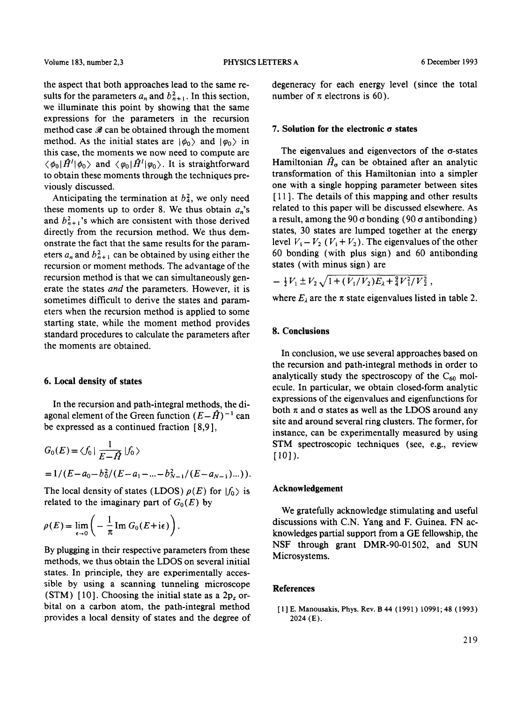the aspect that both approaches lead to the same results for the parameters  $a_n$  and  $b_{n+1}^2$ . In this section, we illuminate this point by showing that the same expressions for the parameters in the recursion method case  $\mathscr B$  can be obtained through the moment method. As the initial states are  $|\phi_0\rangle$  and  $|\phi_0\rangle$  in this case, the moments we now need to compute are  $\langle \phi_0 | \hat{H}^{\prime} | \phi_0 \rangle$  and  $\langle \phi_0 | \hat{H}^{\prime} | \phi_0 \rangle$ . It is straightforward to obtain these moments through the techniques previously discussed.

Anticipating the termination at  $b_4^2$ , we only need these moments up to order 8. We thus obtain  $a_n$ 's and  $b_{n+1}^2$ 's which are consistent with those derived directly from the recursion method. We thus demonstrate the fact that the same results for the parameters  $a_n$  and  $b_{n+1}^2$  can be obtained by using either the recursion or moment methods. The advantage of the recursion method is that we can simultaneously generate the states *and* the parameters. However, it is sometimes difficult to derive the states and parameters when the recursion method is applied to some starting state, while the moment method provides standard procedures to calculate the parameters after the moments are obtained.

### **6. Local density of states**

In the recursion and path-integral methods, the diagonal element of the Green function  $(E-\hat{H})^{-1}$  can be expressed as a continued fraction [8,9],

$$
G_0(E) = \langle f_0 | \frac{1}{E - \hat{H}} | f_0 \rangle
$$
  
= 1/(E - a\_0 - b\_0^2/(E - a\_1 - ... - b\_{N-1}^2/(E - a\_{N-1})...)).

The local density of states (LDOS)  $\rho(E)$  for  $|f_0\rangle$  is related to the imaginary part of  $G_0(E)$  by

$$
\rho(E) = \lim_{\epsilon \to 0} \left( -\frac{1}{\pi} \operatorname{Im} G_0(E + i\epsilon) \right).
$$

By plugging in their respective parameters from these methods, we thus obtain the LDOS on several initial states. In principle, they are experimentally accessible by using a scanning tunneling microscope (STM) [10]. Choosing the initial state as a  $2p_z$  orbital on a carbon atom, the path-integral method provides a local density of states and the degree of degeneracy for each energy level (since the total number of  $\pi$  electrons is 60).

### $7.$  Solution for the electronic  $\sigma$  states

The eigenvalues and eigenvectors of the  $\sigma$ -states Hamiltonian  $\hat{H}_{\sigma}$  can be obtained after an analytic transformation of this Hamiltonian into a simpler one with a single hopping parameter between sites [ 11 ]. The details of this mapping and other results related to this paper will be discussed elsewhere. As a result, among the 90  $\sigma$  bonding (90  $\sigma$  antibonding) states, 30 states are lumped together at the energy level  $V_1 - V_2$  ( $V_1 + V_2$ ). The eigenvalues of the other 60 bonding (with plus sign) and 60 antibonding states (with minus sign) are

$$
- \frac{1}{2} V_1 \pm V_2 \sqrt{1 + (V_1/V_2) E_\lambda + \frac{9}{4} V_1^2/V_2^2} \,,
$$

where  $E_{\lambda}$  are the  $\pi$  state eigenvalues listed in table 2.

# **8. Conclusions**

In conclusion, we use several approaches based on the recursion and path-integral methods in order to analytically study the spectroscopy of the  $C_{60}$  molecule. In particular, we obtain closed-form analytic expressions of the eigenvalues and eigenfunctions for both  $\pi$  and  $\sigma$  states as well as the LDOS around any site and around several ring clusters. The former, for instance, can be experimentally measured by using STM spectroscopic techniques (see, e.g., review  $[10]$ ).

#### **Acknowledgement**

We gratefully acknowledge stimulating and useful discussions with C.N. Yang and F. Guinea. FN acknowledges partial support from a GE fellowship, the NSF through grant DMR-90-01502, and SUN Microsystems.

### **References**

[ 1 ] E. Manousakis, Phys. Rev. B 44 ( 1991 ) 10991; 48 (1993) 2024 (E).